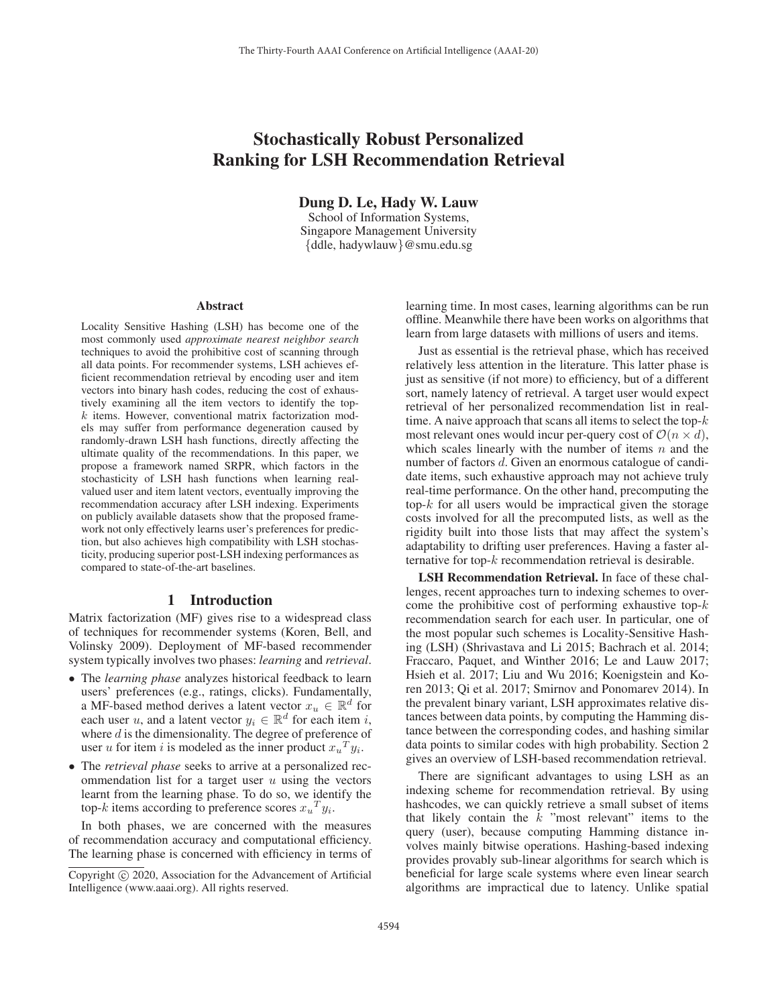# Stochastically Robust Personalized Ranking for LSH Recommendation Retrieval

Dung D. Le, Hady W. Lauw

School of Information Systems, Singapore Management University {ddle, hadywlauw}@smu.edu.sg

#### Abstract

Locality Sensitive Hashing (LSH) has become one of the most commonly used *approximate nearest neighbor search* techniques to avoid the prohibitive cost of scanning through all data points. For recommender systems, LSH achieves efficient recommendation retrieval by encoding user and item vectors into binary hash codes, reducing the cost of exhaustively examining all the item vectors to identify the top $k$  items. However, conventional matrix factorization models may suffer from performance degeneration caused by randomly-drawn LSH hash functions, directly affecting the ultimate quality of the recommendations. In this paper, we propose a framework named SRPR, which factors in the stochasticity of LSH hash functions when learning realvalued user and item latent vectors, eventually improving the recommendation accuracy after LSH indexing. Experiments on publicly available datasets show that the proposed framework not only effectively learns user's preferences for prediction, but also achieves high compatibility with LSH stochasticity, producing superior post-LSH indexing performances as compared to state-of-the-art baselines.

## 1 Introduction

Matrix factorization (MF) gives rise to a widespread class of techniques for recommender systems (Koren, Bell, and Volinsky 2009). Deployment of MF-based recommender system typically involves two phases: *learning* and *retrieval*.

- The *learning phase* analyzes historical feedback to learn users' preferences (e.g., ratings, clicks). Fundamentally, a MF-based method derives a latent vector  $x_u \in \mathbb{R}^d$  for each user u, and a latent vector  $y_i \in \mathbb{R}^d$  for each item i, where  $d$  is the dimensionality. The degree of preference of user u for item i is modeled as the inner product  $x_u^T y_i$ .
- The *retrieval phase* seeks to arrive at a personalized recommendation list for a target user  $u$  using the vectors learnt from the learning phase. To do so, we identify the top-k items according to preference scores  $x_u^T y_i$ .

In both phases, we are concerned with the measures of recommendation accuracy and computational efficiency. The learning phase is concerned with efficiency in terms of

learning time. In most cases, learning algorithms can be run offline. Meanwhile there have been works on algorithms that learn from large datasets with millions of users and items.

Just as essential is the retrieval phase, which has received relatively less attention in the literature. This latter phase is just as sensitive (if not more) to efficiency, but of a different sort, namely latency of retrieval. A target user would expect retrieval of her personalized recommendation list in realtime. A naive approach that scans all items to select the top- $k$ most relevant ones would incur per-query cost of  $\mathcal{O}(n \times d)$ , which scales linearly with the number of items  $n$  and the number of factors d. Given an enormous catalogue of candidate items, such exhaustive approach may not achieve truly real-time performance. On the other hand, precomputing the top- $k$  for all users would be impractical given the storage costs involved for all the precomputed lists, as well as the rigidity built into those lists that may affect the system's adaptability to drifting user preferences. Having a faster alternative for top-k recommendation retrieval is desirable.

LSH Recommendation Retrieval. In face of these challenges, recent approaches turn to indexing schemes to overcome the prohibitive cost of performing exhaustive top- $k$ recommendation search for each user. In particular, one of the most popular such schemes is Locality-Sensitive Hashing (LSH) (Shrivastava and Li 2015; Bachrach et al. 2014; Fraccaro, Paquet, and Winther 2016; Le and Lauw 2017; Hsieh et al. 2017; Liu and Wu 2016; Koenigstein and Koren 2013; Qi et al. 2017; Smirnov and Ponomarev 2014). In the prevalent binary variant, LSH approximates relative distances between data points, by computing the Hamming distance between the corresponding codes, and hashing similar data points to similar codes with high probability. Section 2 gives an overview of LSH-based recommendation retrieval.

There are significant advantages to using LSH as an indexing scheme for recommendation retrieval. By using hashcodes, we can quickly retrieve a small subset of items that likely contain the  $k$  "most relevant" items to the query (user), because computing Hamming distance involves mainly bitwise operations. Hashing-based indexing provides provably sub-linear algorithms for search which is beneficial for large scale systems where even linear search algorithms are impractical due to latency. Unlike spatial

Copyright  $\odot$  2020, Association for the Advancement of Artificial Intelligence (www.aaai.org). All rights reserved.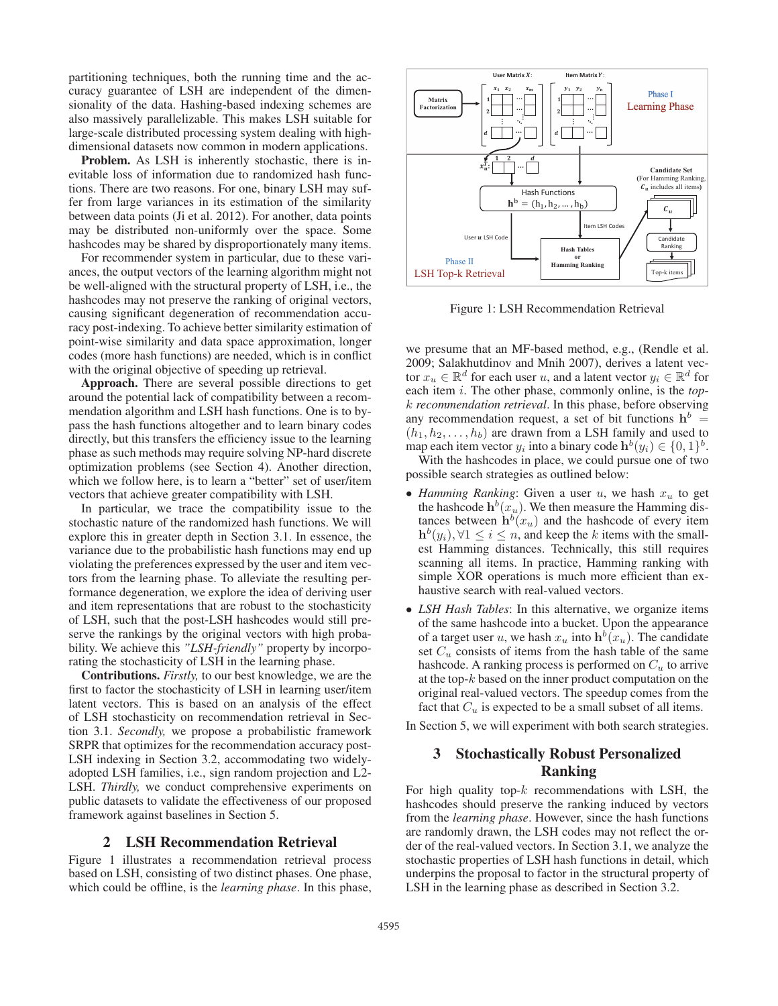partitioning techniques, both the running time and the accuracy guarantee of LSH are independent of the dimensionality of the data. Hashing-based indexing schemes are also massively parallelizable. This makes LSH suitable for large-scale distributed processing system dealing with highdimensional datasets now common in modern applications.

Problem. As LSH is inherently stochastic, there is inevitable loss of information due to randomized hash functions. There are two reasons. For one, binary LSH may suffer from large variances in its estimation of the similarity between data points (Ji et al. 2012). For another, data points may be distributed non-uniformly over the space. Some hashcodes may be shared by disproportionately many items.

For recommender system in particular, due to these variances, the output vectors of the learning algorithm might not be well-aligned with the structural property of LSH, i.e., the hashcodes may not preserve the ranking of original vectors, causing significant degeneration of recommendation accuracy post-indexing. To achieve better similarity estimation of point-wise similarity and data space approximation, longer codes (more hash functions) are needed, which is in conflict with the original objective of speeding up retrieval.

Approach. There are several possible directions to get around the potential lack of compatibility between a recommendation algorithm and LSH hash functions. One is to bypass the hash functions altogether and to learn binary codes directly, but this transfers the efficiency issue to the learning phase as such methods may require solving NP-hard discrete optimization problems (see Section 4). Another direction, which we follow here, is to learn a "better" set of user/item vectors that achieve greater compatibility with LSH.

In particular, we trace the compatibility issue to the stochastic nature of the randomized hash functions. We will explore this in greater depth in Section 3.1. In essence, the variance due to the probabilistic hash functions may end up violating the preferences expressed by the user and item vectors from the learning phase. To alleviate the resulting performance degeneration, we explore the idea of deriving user and item representations that are robust to the stochasticity of LSH, such that the post-LSH hashcodes would still preserve the rankings by the original vectors with high probability. We achieve this *"LSH-friendly"* property by incorporating the stochasticity of LSH in the learning phase.

Contributions. *Firstly,* to our best knowledge, we are the first to factor the stochasticity of LSH in learning user/item latent vectors. This is based on an analysis of the effect of LSH stochasticity on recommendation retrieval in Section 3.1. *Secondly,* we propose a probabilistic framework SRPR that optimizes for the recommendation accuracy post-LSH indexing in Section 3.2, accommodating two widelyadopted LSH families, i.e., sign random projection and L2- LSH. *Thirdly,* we conduct comprehensive experiments on public datasets to validate the effectiveness of our proposed framework against baselines in Section 5.

### 2 LSH Recommendation Retrieval

Figure 1 illustrates a recommendation retrieval process based on LSH, consisting of two distinct phases. One phase, which could be offline, is the *learning phase*. In this phase,



Figure 1: LSH Recommendation Retrieval

we presume that an MF-based method, e.g., (Rendle et al. 2009; Salakhutdinov and Mnih 2007), derives a latent vector  $x_u \in \mathbb{R}^d$  for each user u, and a latent vector  $y_i \in \mathbb{R}^d$  for each item i. The other phase, commonly online, is the *top*k *recommendation retrieval*. In this phase, before observing any recommendation request, a set of bit functions  $h^b$  =  $(h_1, h_2, \ldots, h_b)$  are drawn from a LSH family and used to map each item vector  $y_i$  into a binary code  $h^b(y_i) \in \{0,1\}^b$ .

With the hashcodes in place, we could pursue one of two possible search strategies as outlined below:

- *Hamming Ranking*: Given a user  $u$ , we hash  $x_u$  to get the hashcode  $h^b(x_u)$ . We then measure the Hamming distances between  $h^b(x_u)$  and the hashcode of every item  $h^b(y_i), \forall 1 \leq i \leq n$ , and keep the k items with the smallest Hamming distances. Technically, this still requires scanning all items. In practice, Hamming ranking with simple XOR operations is much more efficient than exhaustive search with real-valued vectors.
- *LSH Hash Tables*: In this alternative, we organize items of the same hashcode into a bucket. Upon the appearance of a target user u, we hash  $x_u$  into  $h^b(x_u)$ . The candidate set  $C_u$  consists of items from the hash table of the same hashcode. A ranking process is performed on  $C_u$  to arrive at the top-k based on the inner product computation on the original real-valued vectors. The speedup comes from the fact that  $C_u$  is expected to be a small subset of all items.

In Section 5, we will experiment with both search strategies.

# 3 Stochastically Robust Personalized Ranking

For high quality top- $k$  recommendations with LSH, the hashcodes should preserve the ranking induced by vectors from the *learning phase*. However, since the hash functions are randomly drawn, the LSH codes may not reflect the order of the real-valued vectors. In Section 3.1, we analyze the stochastic properties of LSH hash functions in detail, which underpins the proposal to factor in the structural property of LSH in the learning phase as described in Section 3.2.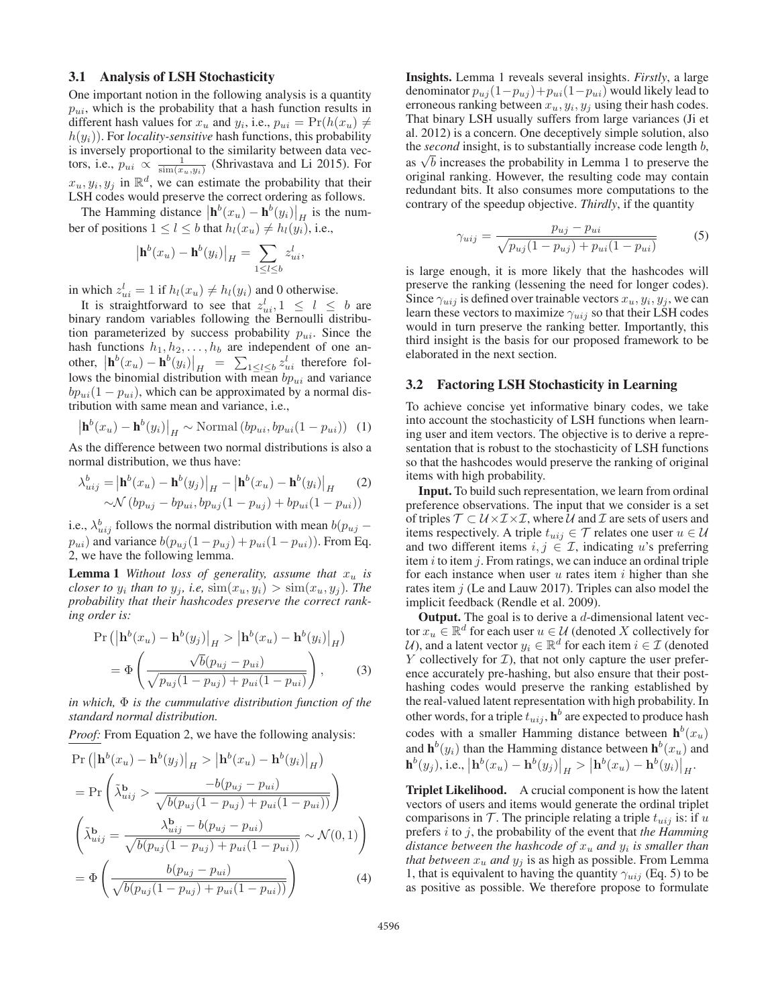#### 3.1 Analysis of LSH Stochasticity

One important notion in the following analysis is a quantity  $p_{ui}$ , which is the probability that a hash function results in different hash values for  $x_u$  and  $y_i$ , i.e.,  $p_{ui} = Pr(h(x_u) \neq$  $h(y_i)$ ). For *locality-sensitive* hash functions, this probability is inversely proportional to the similarity between data vectors, i.e.,  $p_{ui} \propto \frac{1}{\sin(x_u, y_i)}$  (Shrivastava and Li 2015). For  $x_u, y_i, y_j$  in  $\mathbb{R}^d$ , we can estimate the probability that their LSH codes would preserve the correct ordering as follows.

The Hamming distance  $\left|\mathbf{h}^{b}(x_{u}) - \mathbf{h}^{b}(y_{i})\right|_{H}$  is the number of positions  $1 \leq l \leq b$  that  $h_l(x_u) \neq h_l(y_i)$ , i.e.,

$$
\left|\mathbf{h}^b(x_u) - \mathbf{h}^b(y_i)\right|_H = \sum_{1 \le l \le b} z_{ui}^l,
$$

in which  $z_{ui}^l = 1$  if  $h_l(x_u) \neq h_l(y_i)$  and 0 otherwise.

It is straightforward to see that  $z_{ui}^l, 1 \leq l \leq b$  are binary random variables following the Bernoulli distribution parameterized by success probability  $p_{ui}$ . Since the hash functions  $h_1, h_2, \ldots, h_b$  are independent of one another,  $\left|\mathbf{h}^{b}(x_{u}) - \mathbf{h}^{b}(y_{i})\right|_{H} = \sum_{1 \leq l \leq b} z_{ui}^{l}$  therefore follows the binomial distribution with mean  $b p_{ui}$  and variance  $bp_{ui}(1 - p_{ui})$ , which can be approximated by a normal distribution with same mean and variance, i.e.,

$$
\left| \mathbf{h}^{b}(x_{u}) - \mathbf{h}^{b}(y_{i}) \right|_{H} \sim \text{Normal}\left(b p_{ui}, b p_{ui}(1 - p_{ui})\right) \tag{1}
$$

As the difference between two normal distributions is also a normal distribution, we thus have:

$$
\lambda_{uij}^{b} = \left| \mathbf{h}^{b}(x_{u}) - \mathbf{h}^{b}(y_{j}) \right|_{H} - \left| \mathbf{h}^{b}(x_{u}) - \mathbf{h}^{b}(y_{i}) \right|_{H} \tag{2}
$$

$$
\sim \mathcal{N} \left( b p_{uj} - b p_{ui}, b p_{uj} (1 - p_{uj}) + b p_{ui} (1 - p_{ui}) \right)
$$

i.e.,  $\lambda_{uij}^b$  follows the normal distribution with mean  $b(p_{uj} - \mu_{ij})$  $p_{ui}$ ) and variance  $b(p_{uj}(1-p_{uj}) + p_{ui}(1-p_{ui}))$ . From Eq. 2, we have the following lemma.

**Lemma 1** *Without loss of generality, assume that*  $x_u$  *is closer to*  $y_i$  *than to*  $y_j$ *, i.e,*  $\text{sim}(x_u, y_i) > \text{sim}(x_u, y_j)$ *. The probability that their hashcodes preserve the correct ranking order is:*

$$
\Pr\left(\left|\mathbf{h}^{b}(x_{u}) - \mathbf{h}^{b}(y_{j})\right|_{H} > \left|\mathbf{h}^{b}(x_{u}) - \mathbf{h}^{b}(y_{i})\right|_{H}\right)
$$

$$
= \Phi\left(\frac{\sqrt{b}(p_{uj} - p_{ui})}{\sqrt{p_{uj}(1 - p_{uj}) + p_{ui}(1 - p_{ui})}}\right), \tag{3}
$$

*in which,* Φ *is the cummulative distribution function of the standard normal distribution.*

*Proof:* From Equation 2, we have the following analysis:

$$
\Pr\left(\left|\mathbf{h}^{b}(x_{u}) - \mathbf{h}^{b}(y_{j})\right|_{H} > \left|\mathbf{h}^{b}(x_{u}) - \mathbf{h}^{b}(y_{i})\right|_{H}\right)
$$
\n
$$
= \Pr\left(\tilde{\lambda}_{uij}^{b} > \frac{-b(p_{uj} - p_{ui})}{\sqrt{b(p_{uj}(1 - p_{uj}) + p_{ui}(1 - p_{ui}))}}\right)
$$
\n
$$
\left(\tilde{\lambda}_{uij}^{b} = \frac{\lambda_{uij}^{b} - b(p_{uj} - p_{ui})}{\sqrt{b(p_{uj}(1 - p_{uj}) + p_{ui}(1 - p_{ui}))}} \sim \mathcal{N}(0, 1)\right)
$$
\n
$$
= \Phi\left(\frac{b(p_{uj} - p_{ui})}{\sqrt{b(p_{uj}(1 - p_{uj}) + p_{ui}(1 - p_{ui}))}}\right) \tag{4}
$$

Insights. Lemma 1 reveals several insights. *Firstly*, a large denominator  $p_{uj}(1-p_{uj})+p_{ui}(1-p_{ui})$  would likely lead to erroneous ranking between  $x_u, y_i, y_j$  using their hash codes. That binary LSH usually suffers from large variances (Ji et al. 2012) is a concern. One deceptively simple solution, also the *second* insight, is to substantially increase code length b, as  $\sqrt{b}$  increases the probability in Lemma 1 to preserve the original ranking. However, the resulting code may contain redundant bits. It also consumes more computations to the contrary of the speedup objective. *Thirdly*, if the quantity

$$
\gamma_{uij} = \frac{p_{uj} - p_{ui}}{\sqrt{p_{uj}(1 - p_{uj}) + p_{ui}(1 - p_{ui})}}
$$
(5)

is large enough, it is more likely that the hashcodes will preserve the ranking (lessening the need for longer codes). Since  $\gamma_{uij}$  is defined over trainable vectors  $x_u, y_i, y_j$ , we can learn these vectors to maximize  $\gamma_{uij}$  so that their LSH codes would in turn preserve the ranking better. Importantly, this third insight is the basis for our proposed framework to be elaborated in the next section.

#### 3.2 Factoring LSH Stochasticity in Learning

To achieve concise yet informative binary codes, we take into account the stochasticity of LSH functions when learning user and item vectors. The objective is to derive a representation that is robust to the stochasticity of LSH functions so that the hashcodes would preserve the ranking of original items with high probability.

Input. To build such representation, we learn from ordinal preference observations. The input that we consider is a set of triples  $\mathcal{T} \subset \mathcal{U} \times \mathcal{I} \times \mathcal{I}$ , where  $\mathcal{U}$  and  $\mathcal{I}$  are sets of users and items respectively. A triple  $t_{uij} \in \mathcal{T}$  relates one user  $u \in \mathcal{U}$ and two different items  $i, j \in \mathcal{I}$ , indicating u's preferring item  $i$  to item  $j$ . From ratings, we can induce an ordinal triple for each instance when user  $u$  rates item  $i$  higher than she rates item j (Le and Lauw 2017). Triples can also model the implicit feedback (Rendle et al. 2009).

**Output.** The goal is to derive a  $d$ -dimensional latent vector  $x_u \in \mathbb{R}^d$  for each user  $u \in \mathcal{U}$  (denoted X collectively for U), and a latent vector  $y_i \in \mathbb{R}^d$  for each item  $i \in \mathcal{I}$  (denoted Y collectively for  $\mathcal{I}$ ), that not only capture the user preference accurately pre-hashing, but also ensure that their posthashing codes would preserve the ranking established by the real-valued latent representation with high probability. In other words, for a triple  $t_{uij}$ ,  $\mathbf{h}^b$  are expected to produce hash codes with a smaller Hamming distance between  $h^b(x_u)$ and  $\mathbf{h}^{b}(y_i)$  than the Hamming distance between  $\mathbf{h}^{b}(x_u)$  and  $\mathbf{h}^{b}(y_{j}),$  i.e.,  $\left|\mathbf{h}^{b}(x_{u})-\mathbf{h}^{b}(y_{j})\right|_{H} > \left|\mathbf{h}^{b}(x_{u})-\mathbf{h}^{b}(y_{i})\right|_{H}$ .

Triplet Likelihood. A crucial component is how the latent vectors of users and items would generate the ordinal triplet comparisons in  $\mathcal T$ . The principle relating a triple  $t_{uij}$  is: if u prefers i to j, the probability of the event that *the Hamming distance between the hashcode of*  $x_u$  *and*  $y_i$  *is smaller than that between*  $x_u$  *and*  $y_i$  *is as high as possible. From Lemma* 1, that is equivalent to having the quantity  $\gamma_{ui}$  (Eq. 5) to be as positive as possible. We therefore propose to formulate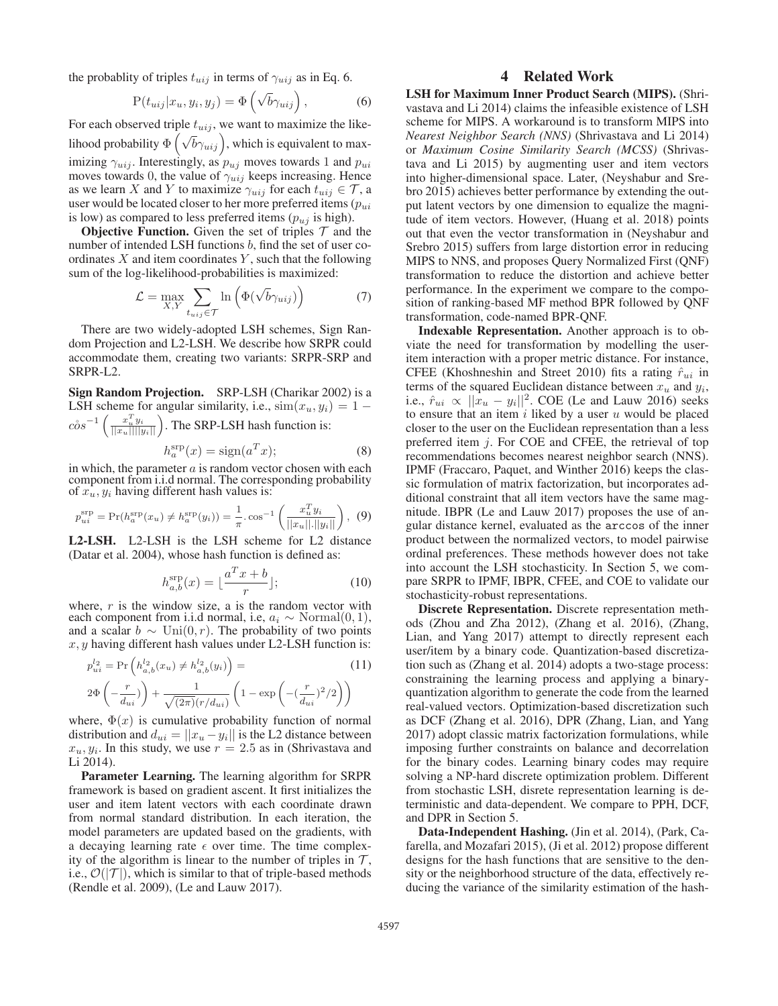the probablity of triples  $t_{uij}$  in terms of  $\gamma_{uij}$  as in Eq. 6.

$$
P(t_{uij}|x_u, y_i, y_j) = \Phi\left(\sqrt{b}\gamma_{uij}\right),\tag{6}
$$

For each observed triple  $t_{uij}$ , we want to maximize the likelihood probability  $\Phi\left(\sqrt{b}\gamma_{uij}\right)$ , which is equivalent to maximizing  $\gamma_{uij}$ . Interestingly, as  $p_{uj}$  moves towards 1 and  $p_{ui}$ moves towards 0, the value of  $\gamma_{uij}$  keeps increasing. Hence as we learn X and Y to maximize  $\gamma_{uij}$  for each  $t_{uij} \in \mathcal{T}$ , a user would be located closer to her more preferred items  $(p_{ui})$ is low) as compared to less preferred items  $(p_{uj}$  is high).

**Objective Function.** Given the set of triples  $\mathcal T$  and the number of intended LSH functions b, find the set of user coordinates  $X$  and item coordinates  $Y$ , such that the following sum of the log-likelihood-probabilities is maximized:

$$
\mathcal{L} = \max_{X,Y} \sum_{t_{uij} \in \mathcal{T}} \ln \left( \Phi(\sqrt{b} \gamma_{uij}) \right) \tag{7}
$$

There are two widely-adopted LSH schemes, Sign Random Projection and L2-LSH. We describe how SRPR could accommodate them, creating two variants: SRPR-SRP and SRPR-L2.

Sign Random Projection. SRP-LSH (Charikar 2002) is a LSH scheme for angular similarity, i.e.,  $\text{sim}(x_u, y_i)=1$  $c\delta s^{-1}\left(\frac{x_u^T y_i}{||x_u||||y_i||}\right)$ . The SRP-LSH hash function is:

$$
h_a^{\rm srp}(x) = \text{sign}(a^T x); \tag{8}
$$

in which, the parameter  $a$  is random vector chosen with each component from i.i.d normal. The corresponding probability of  $x_u, y_i$  having different hash values is:

$$
p_{ui}^{\rm srp} = \Pr(h_a^{\rm srp}(x_u) \neq h_a^{\rm srp}(y_i)) = \frac{1}{\pi} \cdot \cos^{-1} \left( \frac{x_u^T y_i}{||x_u|| \cdot ||y_i||} \right), \tag{9}
$$

L2-LSH. L2-LSH is the LSH scheme for L2 distance (Datar et al. 2004), whose hash function is defined as:

$$
h_{a,b}^{\text{srp}}(x) = \lfloor \frac{a^T x + b}{r} \rfloor; \tag{10}
$$

where,  $r$  is the window size, a is the random vector with each component from i.i.d normal, i.e,  $a_i \sim \text{Normal}(0, 1)$ , and a scalar  $b \sim \text{Uni}(0, r)$ . The probability of two points  $x, y$  having different hash values under L2-LSH function is:

$$
p_{ui}^{l_2} = \Pr\left(h_{a,b}^{l_2}(x_u) \neq h_{a,b}^{l_2}(y_i)\right) =
$$
\n
$$
2\Phi\left(-\frac{r}{d_{ui}}\right) + \frac{1}{\sqrt{(2\pi)}(r/d_{ui})} \left(1 - \exp\left(-\left(\frac{r}{d_{ui}}\right)^2/2\right)\right)
$$
\n(11)

where,  $\Phi(x)$  is cumulative probability function of normal distribution and  $d_{ui} = ||x_u - y_i||$  is the L2 distance between  $x_u, y_i$ . In this study, we use  $r = 2.5$  as in (Shrivastava and Li 2014).

Parameter Learning. The learning algorithm for SRPR framework is based on gradient ascent. It first initializes the user and item latent vectors with each coordinate drawn from normal standard distribution. In each iteration, the model parameters are updated based on the gradients, with a decaying learning rate  $\epsilon$  over time. The time complexity of the algorithm is linear to the number of triples in  $\mathcal{T}$ , i.e.,  $\mathcal{O}(|\mathcal{T}|)$ , which is similar to that of triple-based methods (Rendle et al. 2009), (Le and Lauw 2017).

# 4 Related Work

LSH for Maximum Inner Product Search (MIPS). (Shrivastava and Li 2014) claims the infeasible existence of LSH scheme for MIPS. A workaround is to transform MIPS into *Nearest Neighbor Search (NNS)* (Shrivastava and Li 2014) or *Maximum Cosine Similarity Search (MCSS)* (Shrivastava and Li 2015) by augmenting user and item vectors into higher-dimensional space. Later, (Neyshabur and Srebro 2015) achieves better performance by extending the output latent vectors by one dimension to equalize the magnitude of item vectors. However, (Huang et al. 2018) points out that even the vector transformation in (Neyshabur and Srebro 2015) suffers from large distortion error in reducing MIPS to NNS, and proposes Query Normalized First (QNF) transformation to reduce the distortion and achieve better performance. In the experiment we compare to the composition of ranking-based MF method BPR followed by QNF transformation, code-named BPR-QNF.

Indexable Representation. Another approach is to obviate the need for transformation by modelling the useritem interaction with a proper metric distance. For instance, CFEE (Khoshneshin and Street 2010) fits a rating  $\hat{r}_{ui}$  in terms of the squared Euclidean distance between  $x_u$  and  $y_i$ , i.e.,  $\hat{r}_{ui} \propto ||\hat{x}_u - y_i||^2$ . COE (Le and Lauw 2016) seeks to ensure that an item i liked by a user u would be placed closer to the user on the Euclidean representation than a less preferred item j. For COE and CFEE, the retrieval of top recommendations becomes nearest neighbor search (NNS). IPMF (Fraccaro, Paquet, and Winther 2016) keeps the classic formulation of matrix factorization, but incorporates additional constraint that all item vectors have the same magnitude. IBPR (Le and Lauw 2017) proposes the use of angular distance kernel, evaluated as the arccos of the inner product between the normalized vectors, to model pairwise ordinal preferences. These methods however does not take into account the LSH stochasticity. In Section 5, we compare SRPR to IPMF, IBPR, CFEE, and COE to validate our stochasticity-robust representations.

Discrete Representation. Discrete representation methods (Zhou and Zha 2012), (Zhang et al. 2016), (Zhang, Lian, and Yang 2017) attempt to directly represent each user/item by a binary code. Quantization-based discretization such as (Zhang et al. 2014) adopts a two-stage process: constraining the learning process and applying a binaryquantization algorithm to generate the code from the learned real-valued vectors. Optimization-based discretization such as DCF (Zhang et al. 2016), DPR (Zhang, Lian, and Yang 2017) adopt classic matrix factorization formulations, while imposing further constraints on balance and decorrelation for the binary codes. Learning binary codes may require solving a NP-hard discrete optimization problem. Different from stochastic LSH, disrete representation learning is deterministic and data-dependent. We compare to PPH, DCF, and DPR in Section 5.

Data-Independent Hashing. (Jin et al. 2014), (Park, Cafarella, and Mozafari 2015), (Ji et al. 2012) propose different designs for the hash functions that are sensitive to the density or the neighborhood structure of the data, effectively reducing the variance of the similarity estimation of the hash-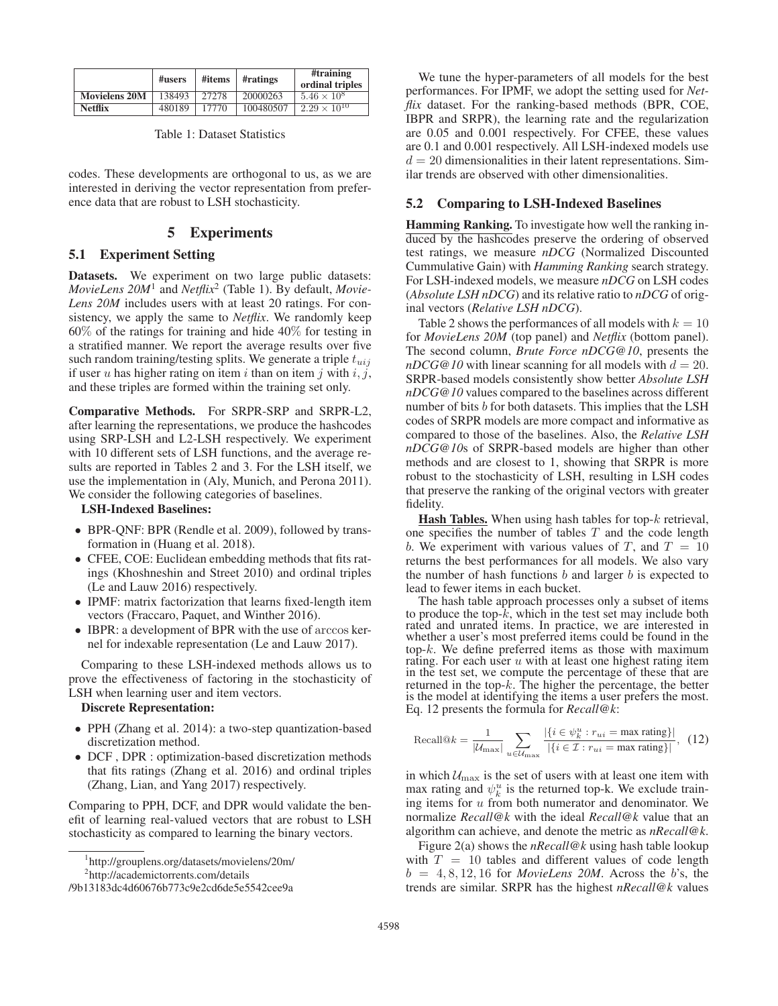|                      | #users | #items | #ratings  | #training<br>ordinal triples |  |
|----------------------|--------|--------|-----------|------------------------------|--|
| <b>Movielens 20M</b> | 138493 | 27278  | 20000263  | $5.46 \times 10^{8}$         |  |
| <b>Netflix</b>       | 480189 | 17770  | 100480507 | $2.29 \times 10^{10}$        |  |

Table 1: Dataset Statistics

codes. These developments are orthogonal to us, as we are interested in deriving the vector representation from preference data that are robust to LSH stochasticity.

# 5 Experiments

# 5.1 Experiment Setting

Datasets. We experiment on two large public datasets: *MovieLens 20M*<sup>1</sup> and *Netflix*<sup>2</sup> (Table 1). By default, *Movie-Lens 20M* includes users with at least 20 ratings. For consistency, we apply the same to *Netflix*. We randomly keep 60% of the ratings for training and hide 40% for testing in a stratified manner. We report the average results over five such random training/testing splits. We generate a triple  $t_{uij}$ if user u has higher rating on item i than on item j with  $i, j$ , and these triples are formed within the training set only.

Comparative Methods. For SRPR-SRP and SRPR-L2, after learning the representations, we produce the hashcodes using SRP-LSH and L2-LSH respectively. We experiment with 10 different sets of LSH functions, and the average results are reported in Tables 2 and 3. For the LSH itself, we use the implementation in (Aly, Munich, and Perona 2011). We consider the following categories of baselines.

## LSH-Indexed Baselines:

- BPR-QNF: BPR (Rendle et al. 2009), followed by transformation in (Huang et al. 2018).
- CFEE, COE: Euclidean embedding methods that fits ratings (Khoshneshin and Street 2010) and ordinal triples (Le and Lauw 2016) respectively.
- IPMF: matrix factorization that learns fixed-length item vectors (Fraccaro, Paquet, and Winther 2016).
- IBPR: a development of BPR with the use of arccos kernel for indexable representation (Le and Lauw 2017).

Comparing to these LSH-indexed methods allows us to prove the effectiveness of factoring in the stochasticity of LSH when learning user and item vectors.

#### Discrete Representation:

- PPH (Zhang et al. 2014): a two-step quantization-based discretization method.
- DCF , DPR : optimization-based discretization methods that fits ratings (Zhang et al. 2016) and ordinal triples (Zhang, Lian, and Yang 2017) respectively.

Comparing to PPH, DCF, and DPR would validate the benefit of learning real-valued vectors that are robust to LSH stochasticity as compared to learning the binary vectors.

1 http://grouplens.org/datasets/movielens/20m/

We tune the hyper-parameters of all models for the best performances. For IPMF, we adopt the setting used for *Netflix* dataset. For the ranking-based methods (BPR, COE, IBPR and SRPR), the learning rate and the regularization are 0.05 and 0.001 respectively. For CFEE, these values are 0.1 and 0.001 respectively. All LSH-indexed models use  $d = 20$  dimensionalities in their latent representations. Similar trends are observed with other dimensionalities.

#### 5.2 Comparing to LSH-Indexed Baselines

Hamming Ranking. To investigate how well the ranking induced by the hashcodes preserve the ordering of observed test ratings, we measure *nDCG* (Normalized Discounted Cummulative Gain) with *Hamming Ranking* search strategy. For LSH-indexed models, we measure *nDCG* on LSH codes (*Absolute LSH nDCG*) and its relative ratio to *nDCG* of original vectors (*Relative LSH nDCG*).

Table 2 shows the performances of all models with  $k = 10$ for *MovieLens 20M* (top panel) and *Netflix* (bottom panel). The second column, *Brute Force nDCG@10*, presents the  $nDCG@10$  with linear scanning for all models with  $d = 20$ . SRPR-based models consistently show better *Absolute LSH nDCG@10* values compared to the baselines across different number of bits b for both datasets. This implies that the LSH codes of SRPR models are more compact and informative as compared to those of the baselines. Also, the *Relative LSH nDCG@10*s of SRPR-based models are higher than other methods and are closest to 1, showing that SRPR is more robust to the stochasticity of LSH, resulting in LSH codes that preserve the ranking of the original vectors with greater fidelity.

**Hash Tables.** When using hash tables for top- $k$  retrieval, one specifies the number of tables  $T$  and the code length b. We experiment with various values of T, and  $T = 10$ returns the best performances for all models. We also vary the number of hash functions  $b$  and larger  $b$  is expected to lead to fewer items in each bucket.

The hash table approach processes only a subset of items to produce the top-k, which in the test set may include both rated and unrated items. In practice, we are interested in whether a user's most preferred items could be found in the top- $k$ . We define preferred items as those with maximum rating. For each user  $u$  with at least one highest rating item in the test set, we compute the percentage of these that are returned in the top- $k$ . The higher the percentage, the better is the model at identifying the items a user prefers the most. Eq. 12 presents the formula for *Recall@k*:

Recall@
$$
k = \frac{1}{|\mathcal{U}_{\text{max}}|} \sum_{u \in \mathcal{U}_{\text{max}}} \frac{|\{i \in \psi_k^u : r_{ui} = \text{max rating}\}|}{|\{i \in \mathcal{I} : r_{ui} = \text{max rating}\}|},
$$
 (12)

in which  $U_{\text{max}}$  is the set of users with at least one item with max rating and  $\psi_k^u$  is the returned top-k. We exclude training items for  $u$  from both numerator and denominator. We normalize *Recall@k* with the ideal *Recall@k* value that an algorithm can achieve, and denote the metric as *nRecall@k*.

Figure 2(a) shows the *nRecall@k* using hash table lookup with  $T = 10$  tables and different values of code length  $b = 4, 8, 12, 16$  for *MovieLens 20M*. Across the b's, the trends are similar. SRPR has the highest *nRecall@k* values

<sup>2</sup> http://academictorrents.com/details

<sup>/9</sup>b13183dc4d60676b773c9e2cd6de5e5542cee9a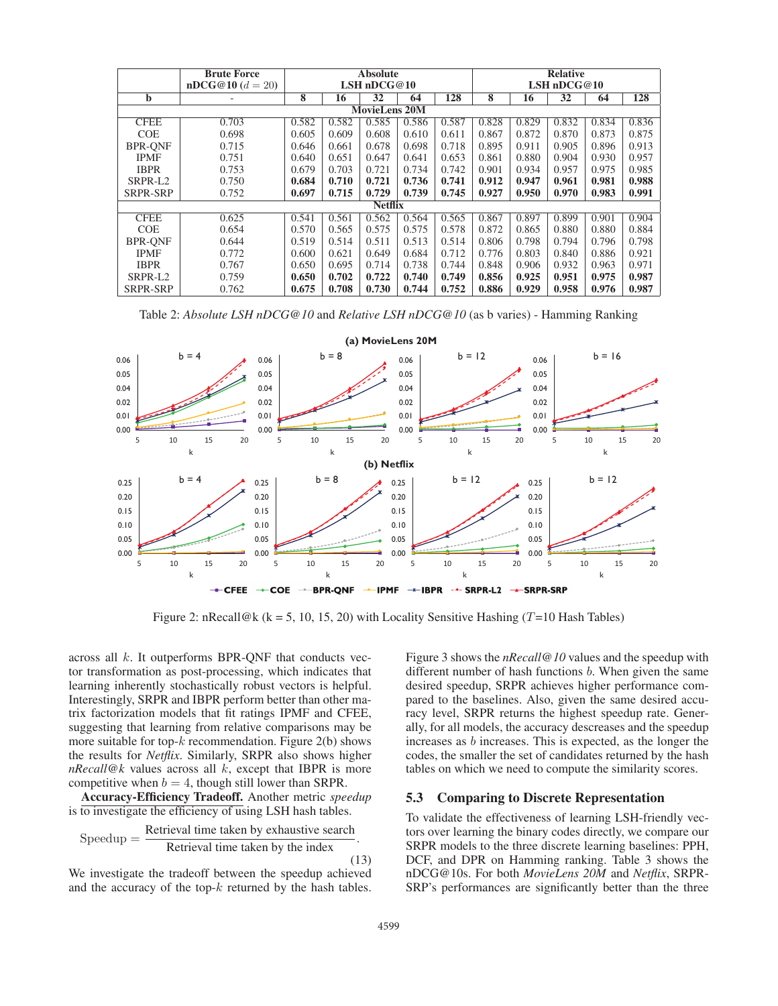|                      | <b>Brute Force</b> | <b>Absolute</b> |       |       | <b>Relative</b> |       |       |       |       |       |       |
|----------------------|--------------------|-----------------|-------|-------|-----------------|-------|-------|-------|-------|-------|-------|
|                      | $nDCG@10(d=20)$    | LSH $nDCG@10$   |       |       | LSH $nDCG@10$   |       |       |       |       |       |       |
| b                    |                    | 8               | 16    | 32    | 64              | 128   | 8     | 16    | 32    | 64    | 128   |
| <b>MovieLens 20M</b> |                    |                 |       |       |                 |       |       |       |       |       |       |
| <b>CFEE</b>          | 0.703              | 0.582           | 0.582 | 0.585 | 0.586           | 0.587 | 0.828 | 0.829 | 0.832 | 0.834 | 0.836 |
| <b>COE</b>           | 0.698              | 0.605           | 0.609 | 0.608 | 0.610           | 0.611 | 0.867 | 0.872 | 0.870 | 0.873 | 0.875 |
| <b>BPR-ONF</b>       | 0.715              | 0.646           | 0.661 | 0.678 | 0.698           | 0.718 | 0.895 | 0.911 | 0.905 | 0.896 | 0.913 |
| <b>IPMF</b>          | 0.751              | 0.640           | 0.651 | 0.647 | 0.641           | 0.653 | 0.861 | 0.880 | 0.904 | 0.930 | 0.957 |
| <b>IBPR</b>          | 0.753              | 0.679           | 0.703 | 0.721 | 0.734           | 0.742 | 0.901 | 0.934 | 0.957 | 0.975 | 0.985 |
| SRPR-L2              | 0.750              | 0.684           | 0.710 | 0.721 | 0.736           | 0.741 | 0.912 | 0.947 | 0.961 | 0.981 | 0.988 |
| SRPR-SRP             | 0.752              | 0.697           | 0.715 | 0.729 | 0.739           | 0.745 | 0.927 | 0.950 | 0.970 | 0.983 | 0.991 |
| <b>Netflix</b>       |                    |                 |       |       |                 |       |       |       |       |       |       |
| <b>CFEE</b>          | 0.625              | 0.541           | 0.561 | 0.562 | 0.564           | 0.565 | 0.867 | 0.897 | 0.899 | 0.901 | 0.904 |
| <b>COE</b>           | 0.654              | 0.570           | 0.565 | 0.575 | 0.575           | 0.578 | 0.872 | 0.865 | 0.880 | 0.880 | 0.884 |
| <b>BPR-ONF</b>       | 0.644              | 0.519           | 0.514 | 0.511 | 0.513           | 0.514 | 0.806 | 0.798 | 0.794 | 0.796 | 0.798 |
| <b>IPMF</b>          | 0.772              | 0.600           | 0.621 | 0.649 | 0.684           | 0.712 | 0.776 | 0.803 | 0.840 | 0.886 | 0.921 |
| <b>IBPR</b>          | 0.767              | 0.650           | 0.695 | 0.714 | 0.738           | 0.744 | 0.848 | 0.906 | 0.932 | 0.963 | 0.971 |
| SRPR-L <sub>2</sub>  | 0.759              | 0.650           | 0.702 | 0.722 | 0.740           | 0.749 | 0.856 | 0.925 | 0.951 | 0.975 | 0.987 |
| SRPR-SRP             | 0.762              | 0.675           | 0.708 | 0.730 | 0.744           | 0.752 | 0.886 | 0.929 | 0.958 | 0.976 | 0.987 |

Table 2: *Absolute LSH nDCG@10* and *Relative LSH nDCG@10* (as b varies) - Hamming Ranking



Figure 2: nRecall@k (k = 5, 10, 15, 20) with Locality Sensitive Hashing (T=10 Hash Tables)

across all k. It outperforms BPR-QNF that conducts vector transformation as post-processing, which indicates that learning inherently stochastically robust vectors is helpful. Interestingly, SRPR and IBPR perform better than other matrix factorization models that fit ratings IPMF and CFEE, suggesting that learning from relative comparisons may be more suitable for top- $k$  recommendation. Figure 2(b) shows the results for *Netflix*. Similarly, SRPR also shows higher *nRecall@k* values across all k, except that IBPR is more competitive when  $b = 4$ , though still lower than SRPR.

Accuracy-Efficiency Tradeoff. Another metric *speedup* is to investigate the efficiency of using LSH hash tables.

Speedup = 
$$
\frac{Retrieval time taken by exhaustive search}{Retrieval time taken by the index}.
$$

(13)

We investigate the tradeoff between the speedup achieved and the accuracy of the top- $k$  returned by the hash tables. Figure 3 shows the *nRecall@10* values and the speedup with different number of hash functions  $b$ . When given the same desired speedup, SRPR achieves higher performance compared to the baselines. Also, given the same desired accuracy level, SRPR returns the highest speedup rate. Generally, for all models, the accuracy descreases and the speedup increases as b increases. This is expected, as the longer the codes, the smaller the set of candidates returned by the hash tables on which we need to compute the similarity scores.

# 5.3 Comparing to Discrete Representation

To validate the effectiveness of learning LSH-friendly vectors over learning the binary codes directly, we compare our SRPR models to the three discrete learning baselines: PPH, DCF, and DPR on Hamming ranking. Table 3 shows the nDCG@10s. For both *MovieLens 20M* and *Netflix*, SRPR-SRP's performances are significantly better than the three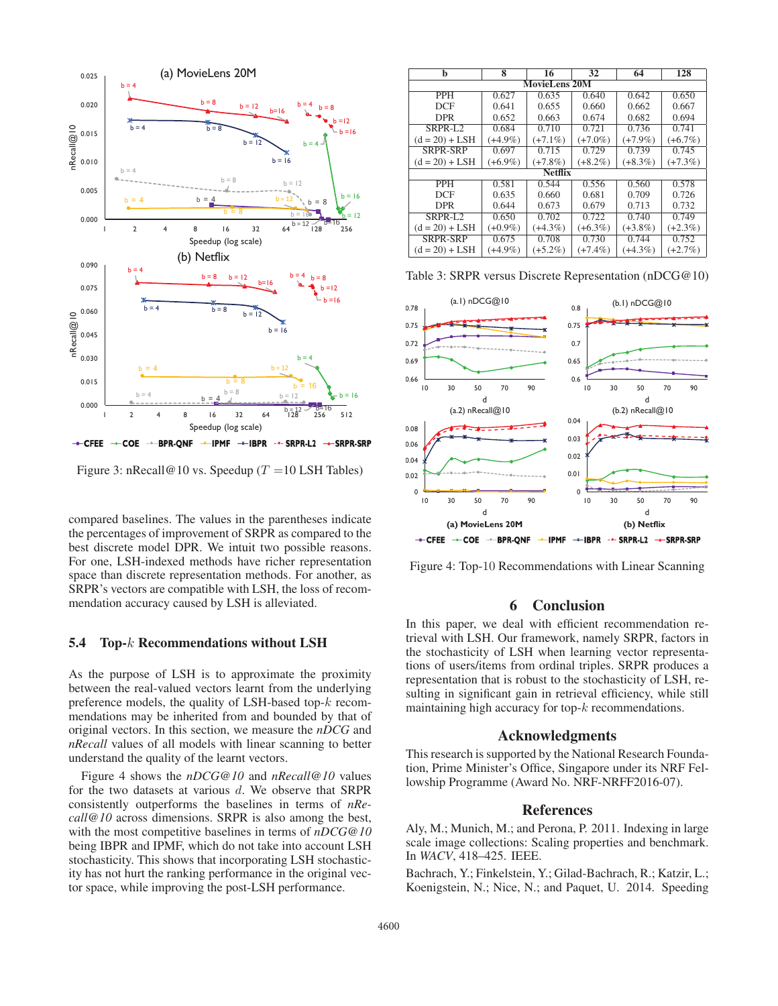

Figure 3: nRecall@10 vs. Speedup ( $T = 10$  LSH Tables)

compared baselines. The values in the parentheses indicate the percentages of improvement of SRPR as compared to the best discrete model DPR. We intuit two possible reasons. For one, LSH-indexed methods have richer representation space than discrete representation methods. For another, as SRPR's vectors are compatible with LSH, the loss of recommendation accuracy caused by LSH is alleviated.

#### 5.4 Top-k Recommendations without LSH

As the purpose of LSH is to approximate the proximity between the real-valued vectors learnt from the underlying preference models, the quality of LSH-based top-k recommendations may be inherited from and bounded by that of original vectors. In this section, we measure the *nDCG* and *nRecall* values of all models with linear scanning to better understand the quality of the learnt vectors.

Figure 4 shows the *nDCG@10* and *nRecall@10* values for the two datasets at various d. We observe that SRPR consistently outperforms the baselines in terms of *nRecall@10* across dimensions. SRPR is also among the best, with the most competitive baselines in terms of *nDCG@10* being IBPR and IPMF, which do not take into account LSH stochasticity. This shows that incorporating LSH stochasticity has not hurt the ranking performance in the original vector space, while improving the post-LSH performance.

| b                    | 8          | 16         | 32         | 64         | 128        |  |  |
|----------------------|------------|------------|------------|------------|------------|--|--|
| <b>MovieLens 20M</b> |            |            |            |            |            |  |  |
| <b>PPH</b>           | 0.627      | 0.635      | 0.640      | 0.642      | 0.650      |  |  |
| DCF                  | 0.641      | 0.655      | 0.660      | 0.662      | 0.667      |  |  |
| <b>DPR</b>           | 0.652      | 0.663      | 0.674      | 0.682      | 0.694      |  |  |
| SRPR-L2              | 0.684      | 0.710      | 0.721      | 0.736      | 0.741      |  |  |
| $(d = 20) + LSH$     | $(+4.9\%)$ | $(+7.1\%)$ | $(+7.0\%)$ | $(+7.9\%)$ | $(+6.7\%)$ |  |  |
| SRPR-SRP             | 0.697      | 0.715      | 0.729      | 0.739      | 0.745      |  |  |
| $(d = 20) + LSH$     | $(+6.9\%)$ | $(+7.8\%)$ | $(+8.2\%)$ | $(+8.3\%)$ | $(+7.3\%)$ |  |  |
| <b>Netflix</b>       |            |            |            |            |            |  |  |
| <b>PPH</b>           | 0.581      | 0.544      | 0.556      | 0.560      | 0.578      |  |  |
| DCF                  | 0.635      | 0.660      | 0.681      | 0.709      | 0.726      |  |  |
| <b>DPR</b>           | 0.644      | 0.673      | 0.679      | 0.713      | 0.732      |  |  |
| SRPR-L2              | 0.650      | 0.702      | 0.722      | 0.740      | 0.749      |  |  |
| $(d = 20) + LSH$     | $(+0.9\%)$ | $(+4.3\%)$ | $(+6.3\%)$ | $(+3.8\%)$ | $(+2.3\%)$ |  |  |
| SRPR-SRP             | 0.675      | 0.708      | 0.730      | 0.744      | 0.752      |  |  |
| $(d = 20) + LSH$     | $(+4.9\%)$ | $(+5.2\%)$ | $(+7.4\%)$ | $(+4.3\%)$ | $(+2.7\%)$ |  |  |

Table 3: SRPR versus Discrete Representation (nDCG@10)



Figure 4: Top-10 Recommendations with Linear Scanning

# 6 Conclusion

In this paper, we deal with efficient recommendation retrieval with LSH. Our framework, namely SRPR, factors in the stochasticity of LSH when learning vector representations of users/items from ordinal triples. SRPR produces a representation that is robust to the stochasticity of LSH, resulting in significant gain in retrieval efficiency, while still maintaining high accuracy for top- $k$  recommendations.

### Acknowledgments

This research is supported by the National Research Foundation, Prime Minister's Office, Singapore under its NRF Fellowship Programme (Award No. NRF-NRFF2016-07).

#### References

Aly, M.; Munich, M.; and Perona, P. 2011. Indexing in large scale image collections: Scaling properties and benchmark. In *WACV*, 418–425. IEEE.

Bachrach, Y.; Finkelstein, Y.; Gilad-Bachrach, R.; Katzir, L.; Koenigstein, N.; Nice, N.; and Paquet, U. 2014. Speeding